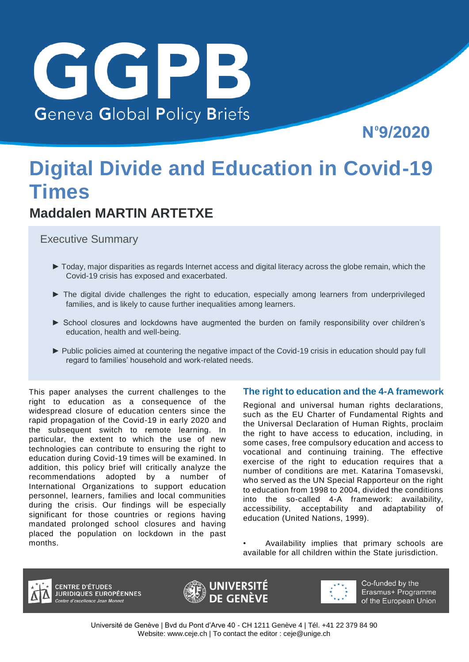

Nº9/2020

# **Digital Divide and Education in Covid-19 Times**

## **Maddalen MARTIN ARTETXE**

Executive Summary

- ► Today, major disparities as regards Internet access and digital literacy across the globe remain, which the Covid-19 crisis has exposed and exacerbated.
- ► The digital divide challenges the right to education, especially among learners from underprivileged families, and is likely to cause further inequalities among learners.
- ► School closures and lockdowns have augmented the burden on family responsibility over children's education, health and well-being.
- ► Public policies aimed at countering the negative impact of the Covid-19 crisis in education should pay full regard to families' household and work-related needs.

This paper analyses the current challenges to the right to education as a consequence of the widespread closure of education centers since the rapid propagation of the Covid-19 in early 2020 and the subsequent switch to remote learning. In particular, the extent to which the use of new technologies can contribute to ensuring the right to education during Covid-19 times will be examined. In addition, this policy brief will critically analyze the recommendations adopted by a number of International Organizations to support education personnel, learners, families and local communities during the crisis. Our findings will be especially significant for those countries or regions having mandated prolonged school closures and having placed the population on lockdown in the past months.

#### **The right to education and the 4-A framework**

Regional and universal human rights declarations, such as the EU Charter of Fundamental Rights and the Universal Declaration of Human Rights, proclaim the right to have access to education, including, in some cases, free compulsory education and access to vocational and continuing training. The effective exercise of the right to education requires that a number of conditions are met. Katarina Tomasevski, who served as the UN Special Rapporteur on the right to education from 1998 to 2004, divided the conditions into the so-called 4-A framework: availability, accessibility, acceptability and adaptability of education (United Nations, 1999).

• Availability implies that primary schools are available for all children within the State jurisdiction.



**CENTRE D'ÉTUDES<br>JURIDIQUES EUROPÉENNES** ntre d'excellence Jean Monnet





Co-funded by the Erasmus+ Programme of the European Union

Université de Genève | Bvd du Pont d'Arve 40 - CH 1211 Genève 4 | Tél. +41 22 379 84 90 Website: [www.ceje.ch |](http://www.ceje.ch/) To contact the editor : [ceje@unige.ch](mailto:ceje@unige.ch)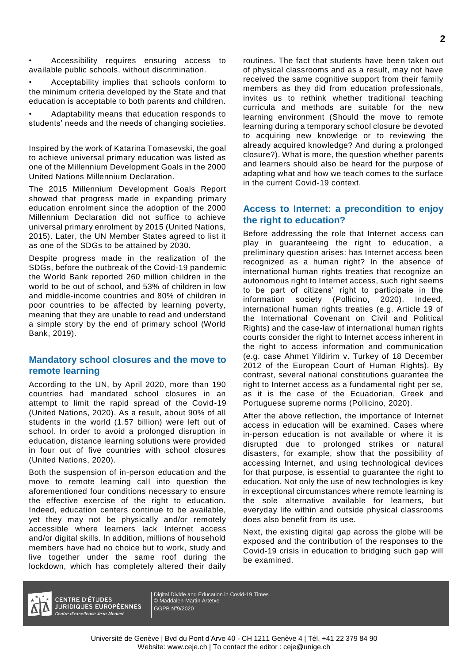• Accessibility requires ensuring access to available public schools, without discrimination.

• Acceptability implies that schools conform to the minimum criteria developed by the State and that education is acceptable to both parents and children.

• Adaptability means that education responds to students' needs and the needs of changing societies.

Inspired by the work of Katarina Tomasevski, the goal to achieve universal primary education was listed as one of the Millennium Development Goals in the 2000 United Nations Millennium Declaration.

The 2015 Millennium Development Goals Report showed that progress made in expanding primary education enrolment since the adoption of the 2000 Millennium Declaration did not suffice to achieve universal primary enrolment by 2015 (United Nations, 2015). Later, the UN Member States agreed to list it as one of the SDGs to be attained by 2030.

Despite progress made in the realization of the SDGs, before the outbreak of the Covid-19 pandemic the World Bank reported 260 million children in the world to be out of school, and 53% of children in low and middle-income countries and 80% of children in poor countries to be affected by learning poverty, meaning that they are unable to read and understand a simple story by the end of primary school (World Bank, 2019).

#### **Mandatory school closures and the move to remote learning**

According to the UN, by April 2020, more than 190 countries had mandated school closures in an attempt to limit the rapid spread of the Covid-19 (United Nations, 2020). As a result, about 90% of all students in the world (1.57 billion) were left out of school. In order to avoid a prolonged disruption in education, distance learning solutions were provided in four out of five countries with school closures (United Nations, 2020).

Both the suspension of in-person education and the move to remote learning call into question the aforementioned four conditions necessary to ensure the effective exercise of the right to education. Indeed, education centers continue to be available, yet they may not be physically and/or remotely accessible where learners lack Internet access and/or digital skills. In addition, millions of household members have had no choice but to work, study and live together under the same roof during the lockdown, which has completely altered their daily

routines. The fact that students have been taken out of physical classrooms and as a result, may not have received the same cognitive support from their family members as they did from education professionals, invites us to rethink whether traditional teaching curricula and methods are suitable for the new learning environment (Should the move to remote learning during a temporary school closure be devoted to acquiring new knowledge or to reviewing the already acquired knowledge? And during a prolonged closure?). What is more, the question whether parents and learners should also be heard for the purpose of adapting what and how we teach comes to the surface in the current Covid-19 context.

#### **Access to Internet: a precondition to enjoy the right to education?**

Before addressing the role that Internet access can play in guaranteeing the right to education, a preliminary question arises: has Internet access been recognized as a human right? In the absence of international human rights treaties that recognize an autonomous right to Internet access, such right seems to be part of citizens' right to participate in the information society (Pollicino, 2020). Indeed, international human rights treaties (e.g. Article 19 of the International Covenant on Civil and Political Rights) and the case-law of international human rights courts consider the right to Internet access inherent in the right to access information and communication (e.g. case Ahmet Yildirim v. Turkey of 18 December 2012 of the European Court of Human Rights). By contrast, several national constitutions guarantee the right to Internet access as a fundamental right per se, as it is the case of the Ecuadorian, Greek and Portuguese supreme norms (Pollicino, 2020).

After the above reflection, the importance of Internet access in education will be examined. Cases where in-person education is not available or where it is disrupted due to prolonged strikes or natural disasters, for example, show that the possibility of accessing Internet, and using technological devices for that purpose, is essential to guarantee the right to education. Not only the use of new technologies is key in exceptional circumstances where remote learning is the sole alternative available for learners, but everyday life within and outside physical classrooms does also benefit from its use.

Next, the existing digital gap across the globe will be exposed and the contribution of the responses to the Covid-19 crisis in education to bridging such gap will be examined.



**CENTRE D'ÉTUDES JURIDIQUES EUROPÉENNES** Centre d'excellence Jean Monnet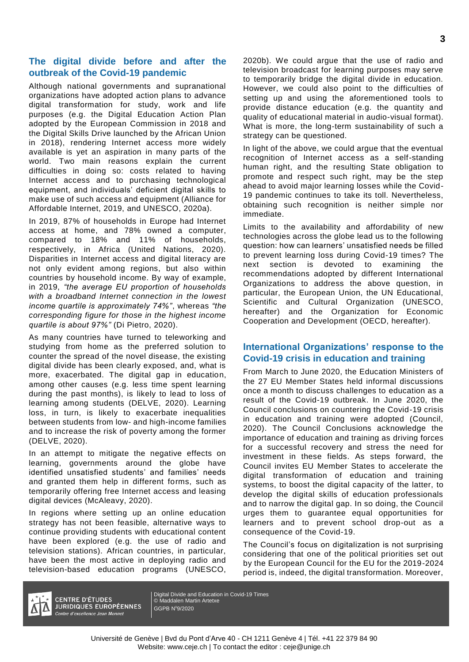#### **The digital divide before and after the outbreak of the Covid-19 pandemic**

Although national governments and supranational organizations have adopted action plans to advance digital transformation for study, work and life purposes (e.g. the Digital Education Action Plan adopted by the European Commission in 2018 and the Digital Skills Drive launched by the African Union in 2018), rendering Internet access more widely available is yet an aspiration in many parts of the world. Two main reasons explain the current difficulties in doing so: costs related to having Internet access and to purchasing technological equipment, and individuals' deficient digital skills to make use of such access and equipment (Alliance for Affordable Internet, 2019, and UNESCO, 2020a).

In 2019, 87% of households in Europe had Internet access at home, and 78% owned a computer, compared to 18% and 11% of households, respectively, in Africa (United Nations, 2020). Disparities in Internet access and digital literacy are not only evident among regions, but also within countries by household income. By way of example, in 2019, *"the average EU proportion of households with a broadband Internet connection in the lowest income quartile is approximately 74%"*, whereas *"the corresponding figure for those in the highest income quartile is about 97%"* (Di Pietro, 2020).

As many countries have turned to teleworking and studying from home as the preferred solution to counter the spread of the novel disease, the existing digital divide has been clearly exposed, and, what is more, exacerbated. The digital gap in education, among other causes (e.g. less time spent learning during the past months), is likely to lead to loss of learning among students (DELVE, 2020). Learning loss, in turn, is likely to exacerbate inequalities between students from low- and high-income families and to increase the risk of poverty among the former (DELVE, 2020).

In an attempt to mitigate the negative effects on learning, governments around the globe have identified unsatisfied students' and families' needs and granted them help in different forms, such as temporarily offering free Internet access and leasing digital devices (McAleavy, 2020).

In regions where setting up an online education strategy has not been feasible, alternative ways to continue providing students with educational content have been explored (e.g. the use of radio and television stations). African countries, in particular, have been the most active in deploying radio and television-based education programs (UNESCO,

2020b). We could argue that the use of radio and television broadcast for learning purposes may serve to temporarily bridge the digital divide in education. However, we could also point to the difficulties of setting up and using the aforementioned tools to provide distance education (e.g. the quantity and quality of educational material in audio-visual format). What is more, the long-term sustainability of such a strategy can be questioned.

In light of the above, we could argue that the eventual recognition of Internet access as a self-standing human right, and the resulting State obligation to promote and respect such right, may be the step ahead to avoid major learning losses while the Covid-19 pandemic continues to take its toll. Nevertheless, obtaining such recognition is neither simple nor immediate.

Limits to the availability and affordability of new technologies across the globe lead us to the following question: how can learners' unsatisfied needs be filled to prevent learning loss during Covid-19 times? The next section is devoted to examining the recommendations adopted by different International Organizations to address the above question, in particular, the European Union, the UN Educational, Scientific and Cultural Organization (UNESCO, hereafter) and the Organization for Economic Cooperation and Development (OECD, hereafter).

#### **International Organizations' response to the Covid-19 crisis in education and training**

From March to June 2020, the Education Ministers of the 27 EU Member States held informal discussions once a month to discuss challenges to education as a result of the Covid-19 outbreak. In June 2020, the Council conclusions on countering the Covid-19 crisis in education and training were adopted (Council, 2020). The Council Conclusions acknowledge the importance of education and training as driving forces for a successful recovery and stress the need for investment in these fields. As steps forward, the Council invites EU Member States to accelerate the digital transformation of education and training systems, to boost the digital capacity of the latter, to develop the digital skills of education professionals and to narrow the digital gap. In so doing, the Council urges them to guarantee equal opportunities for learners and to prevent school drop-out as a consequence of the Covid-19.

The Council's focus on digitalization is not surprising considering that one of the political priorities set out by the European Council for the EU for the 2019-2024 period is, indeed, the digital transformation. Moreover,



**CENTRE D'ÉTUDES JURIDIQUES EUROPÉENNES** Centre d'excellence Jean Monnet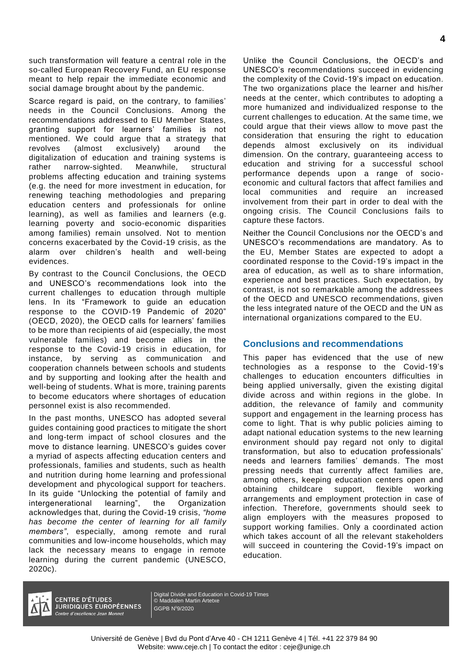such transformation will feature a central role in the so-called European Recovery Fund, an EU response meant to help repair the immediate economic and social damage brought about by the pandemic.

Scarce regard is paid, on the contrary, to families' needs in the Council Conclusions. Among the recommendations addressed to EU Member States, granting support for learners' families is not mentioned. We could argue that a strategy that revolves (almost exclusively) around the digitalization of education and training systems is rather narrow-sighted. Meanwhile, structural problems affecting education and training systems (e.g. the need for more investment in education, for renewing teaching methodologies and preparing education centers and professionals for online learning), as well as families and learners (e.g. learning poverty and socio-economic disparities among families) remain unsolved. Not to mention concerns exacerbated by the Covid-19 crisis, as the alarm over children's health and well-being evidences.

By contrast to the Council Conclusions, the OECD and UNESCO's recommendations look into the current challenges to education through multiple lens. In its "Framework to guide an education response to the COVID-19 Pandemic of 2020" (OECD, 2020), the OECD calls for learners' families to be more than recipients of aid (especially, the most vulnerable families) and become allies in the response to the Covid-19 crisis in education, for instance, by serving as communication and cooperation channels between schools and students and by supporting and looking after the health and well-being of students. What is more, training parents to become educators where shortages of education personnel exist is also recommended.

In the past months, UNESCO has adopted several guides containing good practices to mitigate the short and long-term impact of school closures and the move to distance learning. UNESCO's guides cover a myriad of aspects affecting education centers and professionals, families and students, such as health and nutrition during home learning and professional development and phycological support for teachers. In its guide "Unlocking the potential of family and intergenerational learning", the Organization acknowledges that, during the Covid-19 crisis, *"home has become the center of learning for all family members"*, especially, among remote and rural communities and low-income households, which may lack the necessary means to engage in remote learning during the current pandemic (UNESCO, 2020c).

Unlike the Council Conclusions, the OECD's and UNESCO's recommendations succeed in evidencing the complexity of the Covid-19's impact on education. The two organizations place the learner and his/her needs at the center, which contributes to adopting a more humanized and individualized response to the current challenges to education. At the same time, we could argue that their views allow to move past the consideration that ensuring the right to education depends almost exclusively on its individual dimension. On the contrary, guaranteeing access to education and striving for a successful school performance depends upon a range of socioeconomic and cultural factors that affect families and local communities and require an increased involvement from their part in order to deal with the ongoing crisis. The Council Conclusions fails to capture these factors.

Neither the Council Conclusions nor the OECD's and UNESCO's recommendations are mandatory. As to the EU, Member States are expected to adopt a coordinated response to the Covid-19's impact in the area of education, as well as to share information, experience and best practices. Such expectation, by contrast, is not so remarkable among the addressees of the OECD and UNESCO recommendations, given the less integrated nature of the OECD and the UN as international organizations compared to the EU.

#### **Conclusions and recommendations**

This paper has evidenced that the use of new technologies as a response to the Covid-19's challenges to education encounters difficulties in being applied universally, given the existing digital divide across and within regions in the globe. In addition, the relevance of family and community support and engagement in the learning process has come to light. That is why public policies aiming to adapt national education systems to the new learning environment should pay regard not only to digital transformation, but also to education professionals' needs and learners families' demands. The most pressing needs that currently affect families are, among others, keeping education centers open and obtaining childcare support, flexible working arrangements and employment protection in case of infection. Therefore, governments should seek to align employers with the measures proposed to support working families. Only a coordinated action which takes account of all the relevant stakeholders will succeed in countering the Covid-19's impact on education.



**CENTRE D'ÉTUDES JURIDIQUES EUROPÉENNES** Centre d'excellence Jean Monnet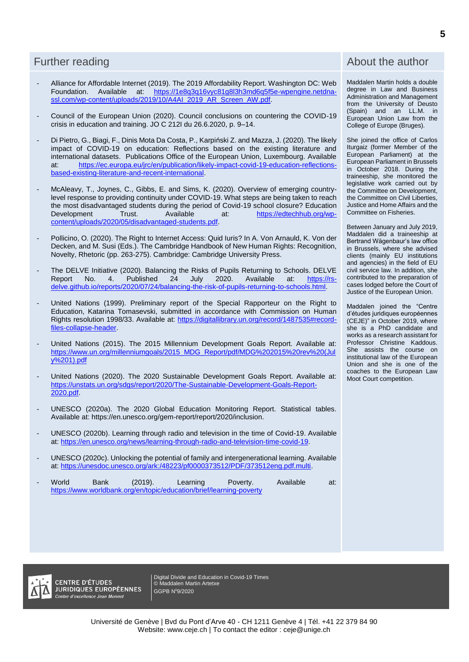- Alliance for Affordable Internet (2019). The 2019 Affordability Report. Washington DC: Web Foundation. Available at: [https://1e8q3q16vyc81g8l3h3md6q5f5e-wpengine.netdna](https://1e8q3q16vyc81g8l3h3md6q5f5e-wpengine.netdna-ssl.com/wp-content/uploads/2019/10/A4AI_2019_AR_Screen_AW.pdf)[ssl.com/wp-content/uploads/2019/10/A4AI\\_2019\\_AR\\_Screen\\_AW.pdf.](https://1e8q3q16vyc81g8l3h3md6q5f5e-wpengine.netdna-ssl.com/wp-content/uploads/2019/10/A4AI_2019_AR_Screen_AW.pdf)
- Council of the European Union (2020). Council conclusions on countering the COVID-19 crisis in education and training. JO C 212I du 26.6.2020, p. 9–14.
- Di Pietro, G., Biagi, F., Dinis Mota Da Costa, P., Karpiński Z. and Mazza, J. (2020). The likely impact of COVID-19 on education: Reflections based on the existing literature and international datasets. Publications Office of the European Union, Luxembourg. Available at: [https://ec.europa.eu/jrc/en/publication/likely-impact-covid-19-education-reflections](https://ec.europa.eu/jrc/en/publication/likely-impact-covid-19-education-reflections-based-existing-literature-and-recent-international)[based-existing-literature-and-recent-international.](https://ec.europa.eu/jrc/en/publication/likely-impact-covid-19-education-reflections-based-existing-literature-and-recent-international)
- McAleavy, T., Joynes, C., Gibbs, E. and Sims, K. (2020). Overview of emerging countrylevel response to providing continuity under COVID-19. What steps are being taken to reach the most disadvantaged students during the period of Covid-19 school closure? Education<br>Development Trust. Available at: https://edtechhub.org/wpat: [https://edtechhub.org/wp](https://edtechhub.org/wp-content/uploads/2020/05/disadvantaged-students.pdf)[content/uploads/2020/05/disadvantaged-students.pdf.](https://edtechhub.org/wp-content/uploads/2020/05/disadvantaged-students.pdf)
- Pollicino, O. (2020). The Right to Internet Access: Quid Iuris? In A. Von Arnauld, K. Von der Decken, and M. Susi (Eds.). The Cambridge Handbook of New Human Rights: Recognition, Novelty, Rhetoric (pp. 263-275). Cambridge: Cambridge University Press.
- The DELVE Initiative (2020). Balancing the Risks of Pupils Returning to Schools. DELVE<br>Report No. 4. Published 24 July 2020. Available at: https://rs-Report No. 4. Published [delve.github.io/reports/2020/07/24/balancing-the-risk-of-pupils-returning-to-schools.html.](https://rs-delve.github.io/reports/2020/07/24/balancing-the-risk-of-pupils-returning-to-schools.html)
- United Nations (1999). Preliminary report of the Special Rapporteur on the Right to Education, Katarina Tomasevski, submitted in accordance with Commission on Human Rights resolution 1998/33. Available at: [https://digitallibrary.un.org/record/1487535#record](https://digitallibrary.un.org/record/1487535#record-files-collapse-header)[files-collapse-header.](https://digitallibrary.un.org/record/1487535#record-files-collapse-header)
- United Nations (2015). The 2015 Millennium Development Goals Report. Available at: [https://www.un.org/millenniumgoals/2015\\_MDG\\_Report/pdf/MDG%202015%20rev%20\(Jul](https://www.un.org/millenniumgoals/2015_MDG_Report/pdf/MDG%202015%20rev%20(July%201).pdf) [y%201\).pdf](https://www.un.org/millenniumgoals/2015_MDG_Report/pdf/MDG%202015%20rev%20(July%201).pdf)
- United Nations (2020). The 2020 Sustainable Development Goals Report. Available at: [https://unstats.un.org/sdgs/report/2020/The-Sustainable-Development-Goals-Report-](https://unstats.un.org/sdgs/report/2020/The-Sustainable-Development-Goals-Report-2020.pdf)[2020.pdf.](https://unstats.un.org/sdgs/report/2020/The-Sustainable-Development-Goals-Report-2020.pdf)
- UNESCO (2020a). The 2020 Global Education Monitoring Report. Statistical tables. Available at: https://en.unesco.org/gem-report/report/2020/inclusion.
- UNESCO (2020b). Learning through radio and television in the time of Covid-19. Available at: [https://en.unesco.org/news/learning-through-radio-and-television-time-covid-19.](https://en.unesco.org/news/learning-through-radio-and-television-time-covid-19)
- UNESCO (2020c). Unlocking the potential of family and intergenerational learning. Available at: [https://unesdoc.unesco.org/ark:/48223/pf0000373512/PDF/373512eng.pdf.multi.](https://unesdoc.unesco.org/ark:/48223/pf0000373512/PDF/373512eng.pdf.multi)
- World Bank (2019). Learning Poverty. Available at: <https://www.worldbank.org/en/topic/education/brief/learning-poverty>

#### Further reading **About the author** About the author

Maddalen Martin holds a double degree in Law and Business Administration and Management from the University of Deusto (Spain) and an LL.M. in European Union Law from the College of Europe (Bruges).

She joined the office of Carlos Iturgaiz (former Member of the European Parliament) at the European Parliament in Brussels in October 2018. During the traineeship, she monitored the legislative work carried out by the Committee on Development, the Committee on Civil Liberties, Justice and Home Affairs and the Committee on Fisheries.

Between January and July 2019, Maddalen did a traineeship at Bertrand Wägenbaur's law office in Brussels, where she advised clients (mainly EU institutions and agencies) in the field of EU civil service law. In addition, she contributed to the preparation of cases lodged before the Court of Justice of the European Union.

Maddalen joined the "Centre d'études juridiques européennes (CEJE)" in October 2019, where she is a PhD candidate and works as a research assistant for Professor Christine Kaddous. She assists the course on institutional law of the European Union and she is one of the coaches to the European Law Moot Court competition.

**CENTRE D'ÉTUDES JURIDIQUES EUROPÉENNES** Centre d'excellence Jean Monnet